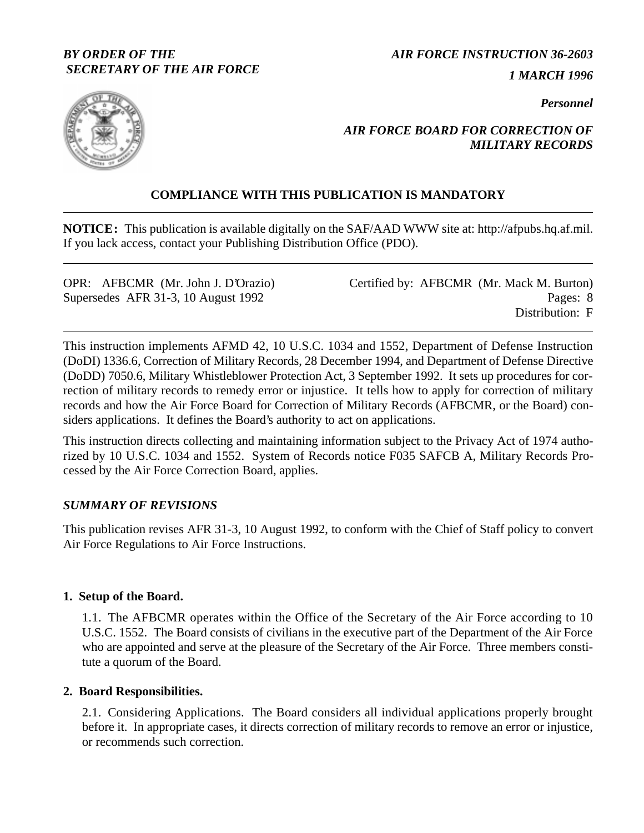### *BY ORDER OF THE SECRETARY OF THE AIR FORCE*

*AIR FORCE INSTRUCTION 36-2603*

*1 MARCH 1996*

*Personnel*



# *AIR FORCE BOARD FOR CORRECTION OF MILITARY RECORDS*

# **COMPLIANCE WITH THIS PUBLICATION IS MANDATORY**

**NOTICE:** This publication is available digitally on the SAF/AAD WWW site at: http://afpubs.hq.af.mil. If you lack access, contact your Publishing Distribution Office (PDO).

| OPR: AFBCMR (Mr. John J. D'Orazio)  | Certified by: AFBCMR (Mr. Mack M. Burton) |
|-------------------------------------|-------------------------------------------|
| Supersedes AFR 31-3, 10 August 1992 | Pages: 8                                  |
|                                     | Distribution: F                           |

This instruction implements AFMD 42, 10 U.S.C. 1034 and 1552, Department of Defense Instruction (DoDI) 1336.6, Correction of Military Records, 28 December 1994, and Department of Defense Directive (DoDD) 7050.6, Military Whistleblower Protection Act, 3 September 1992. It sets up procedures for correction of military records to remedy error or injustice. It tells how to apply for correction of military records and how the Air Force Board for Correction of Military Records (AFBCMR, or the Board) considers applications. It defines the Board's authority to act on applications.

This instruction directs collecting and maintaining information subject to the Privacy Act of 1974 authorized by 10 U.S.C. 1034 and 1552. System of Records notice F035 SAFCB A, Military Records Processed by the Air Force Correction Board, applies.

### *SUMMARY OF REVISIONS*

This publication revises AFR 31-3, 10 August 1992, to conform with the Chief of Staff policy to convert Air Force Regulations to Air Force Instructions.

### **1. Setup of the Board.**

1.1. The AFBCMR operates within the Office of the Secretary of the Air Force according to 10 U.S.C. 1552. The Board consists of civilians in the executive part of the Department of the Air Force who are appointed and serve at the pleasure of the Secretary of the Air Force. Three members constitute a quorum of the Board.

### **2. Board Responsibilities.**

2.1. Considering Applications. The Board considers all individual applications properly brought before it. In appropriate cases, it directs correction of military records to remove an error or injustice, or recommends such correction.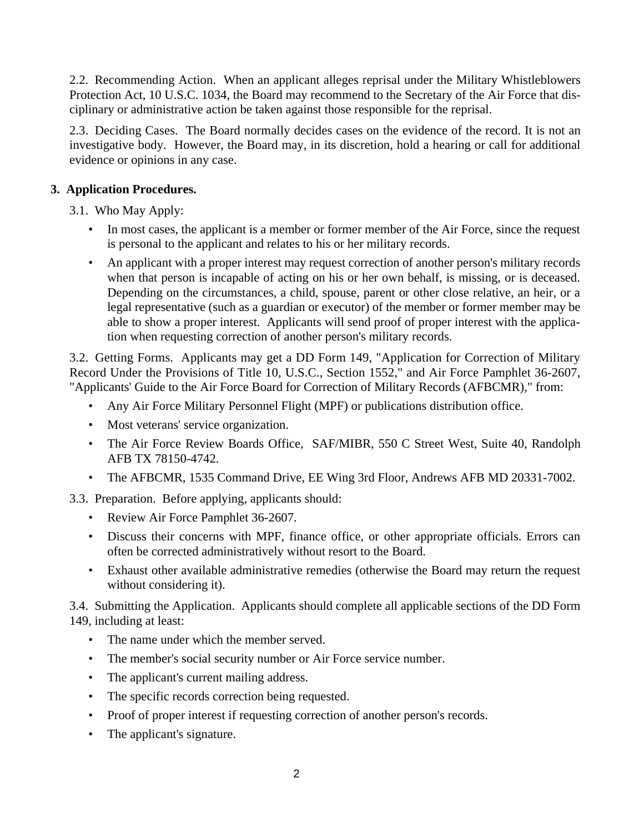<span id="page-1-0"></span>2.2. Recommending Action. When an applicant alleges reprisal under the Military Whistleblowers Protection Act, 10 U.S.C. 1034, the Board may recommend to the Secretary of the Air Force that disciplinary or administrative action be taken against those responsible for the reprisal.

2.3. Deciding Cases. The Board normally decides cases on the evidence of the record. It is not an investigative body. However, the Board may, in its discretion, hold a hearing or call for additional evidence or opinions in any case.

# **3. Application Procedures.**

3.1. Who May Apply:

- In most cases, the applicant is a member or former member of the Air Force, since the request is personal to the applicant and relates to his or her military records.
- An applicant with a proper interest may request correction of another person's military records when that person is incapable of acting on his or her own behalf, is missing, or is deceased. Depending on the circumstances, a child, spouse, parent or other close relative, an heir, or a legal representative (such as a guardian or executor) of the member or former member may be able to show a proper interest. Applicants will send proof of proper interest with the application when requesting correction of another person's military records.

3.2. Getting Forms. Applicants may get a DD Form 149, "Application for Correction of Military Record Under the Provisions of Title 10, U.S.C., Section 1552," and Air Force Pamphlet 36-2607, "Applicants' Guide to the Air Force Board for Correction of Military Records (AFBCMR)," from:

- Any Air Force Military Personnel Flight (MPF) or publications distribution office.
- Most veterans' service organization.
- The Air Force Review Boards Office, SAF/MIBR, 550 C Street West, Suite 40, Randolph AFB TX 78150-4742.
- The AFBCMR, 1535 Command Drive, EE Wing 3rd Floor, Andrews AFB MD 20331-7002.
- 3.3. Preparation. Before applying, applicants should:
	- Review Air Force Pamphlet 36-2607.
	- Discuss their concerns with MPF, finance office, or other appropriate officials. Errors can often be corrected administratively without resort to the Board.
	- Exhaust other available administrative remedies (otherwise the Board may return the request without considering it).

3.4. Submitting the Application. Applicants should complete all applicable sections of the DD Form 149, including at least:

- The name under which the member served.
- The member's social security number or Air Force service number.
- The applicant's current mailing address.
- The specific records correction being requested.
- Proof of proper interest if requesting correction of another person's records.
- The applicant's signature.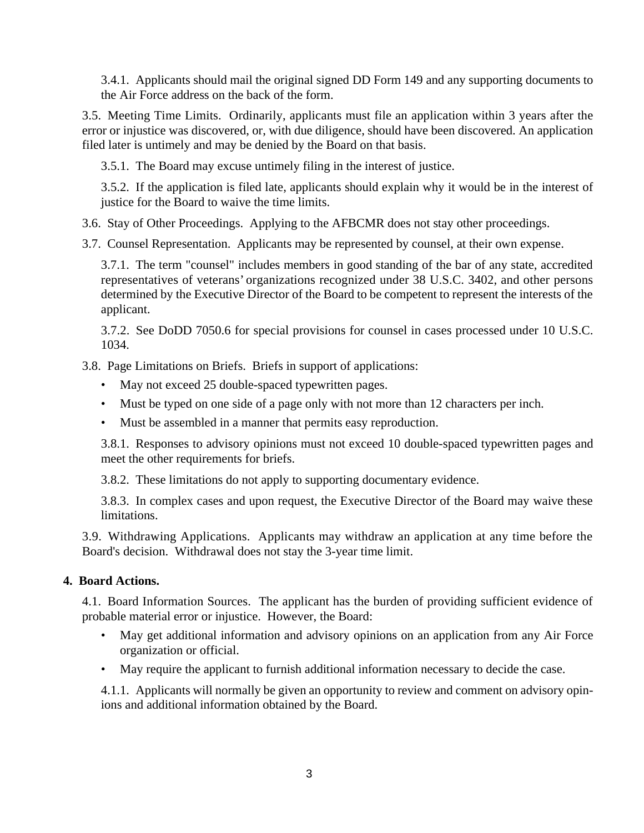<span id="page-2-0"></span>3.4.1. Applicants should mail the original signed DD Form 149 and any supporting documents to the Air Force address on the back of the form.

3.5. Meeting Time Limits. Ordinarily, applicants must file an application within 3 years after the error or injustice was discovered, or, with due diligence, should have been discovered. An application filed later is untimely and may be denied by the Board on that basis.

3.5.1. The Board may excuse untimely filing in the interest of justice.

3.5.2. If the application is filed late, applicants should explain why it would be in the interest of justice for the Board to waive the time limits.

3.6. Stay of Other Proceedings. Applying to the AFBCMR does not stay other proceedings.

3.7. Counsel Representation. Applicants may be represented by counsel, at their own expense.

3.7.1. The term "counsel" includes members in good standing of the bar of any state, accredited representatives of veterans' organizations recognized under 38 U.S.C. 3402, and other persons determined by the Executive Director of the Board to be competent to represent the interests of the applicant.

3.7.2. See DoDD 7050.6 for special provisions for counsel in cases processed under 10 U.S.C. 1034.

3.8. Page Limitations on Briefs. Briefs in support of applications:

- May not exceed 25 double-spaced typewritten pages.
- Must be typed on one side of a page only with not more than 12 characters per inch.
- Must be assembled in a manner that permits easy reproduction.

3.8.1. Responses to advisory opinions must not exceed 10 double-spaced typewritten pages and meet the other requirements for briefs.

3.8.2. These limitations do not apply to supporting documentary evidence.

3.8.3. In complex cases and upon request, the Executive Director of the Board may waive these limitations.

3.9. Withdrawing Applications. Applicants may withdraw an application at any time before the Board's decision. Withdrawal does not stay the 3-year time limit.

### **4. Board Actions.**

4.1. Board Information Sources. The applicant has the burden of providing sufficient evidence of probable material error or injustice. However, the Board:

- May get additional information and advisory opinions on an application from any Air Force organization or official.
- May require the applicant to furnish additional information necessary to decide the case.

4.1.1. Applicants will normally be given an opportunity to review and comment on advisory opinions and additional information obtained by the Board.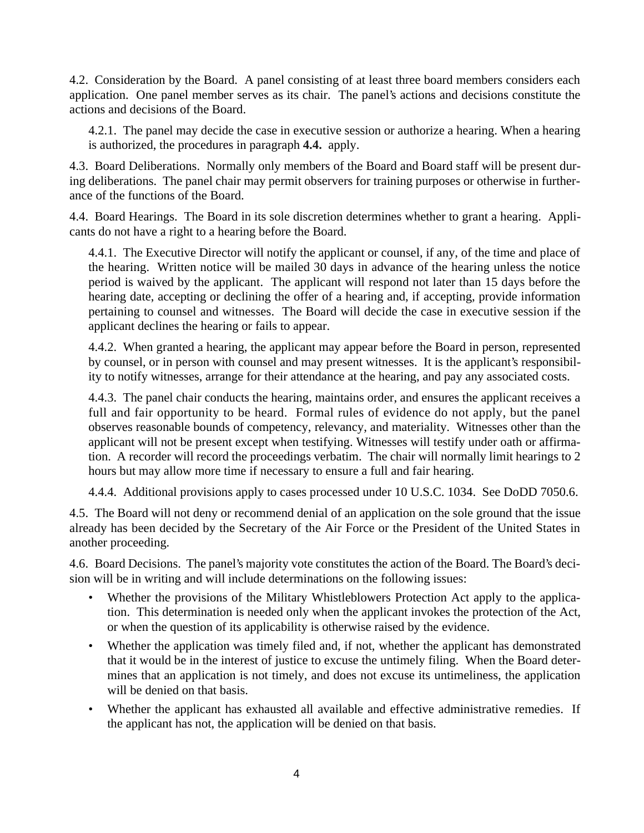4.2. Consideration by the Board. A panel consisting of at least three board members considers each application. One panel member serves as its chair. The panel's actions and decisions constitute the actions and decisions of the Board.

4.2.1. The panel may decide the case in executive session or authorize a hearing. When a hearing is authorized, the procedures in paragraph **4.4.** apply.

4.3. Board Deliberations. Normally only members of the Board and Board staff will be present during deliberations. The panel chair may permit observers for training purposes or otherwise in furtherance of the functions of the Board.

4.4. Board Hearings. The Board in its sole discretion determines whether to grant a hearing. Applicants do not have a right to a hearing before the Board.

4.4.1. The Executive Director will notify the applicant or counsel, if any, of the time and place of the hearing. Written notice will be mailed 30 days in advance of the hearing unless the notice period is waived by the applicant. The applicant will respond not later than 15 days before the hearing date, accepting or declining the offer of a hearing and, if accepting, provide information pertaining to counsel and witnesses. The Board will decide the case in executive session if the applicant declines the hearing or fails to appear.

4.4.2. When granted a hearing, the applicant may appear before the Board in person, represented by counsel, or in person with counsel and may present witnesses. It is the applicant's responsibility to notify witnesses, arrange for their attendance at the hearing, and pay any associated costs.

4.4.3. The panel chair conducts the hearing, maintains order, and ensures the applicant receives a full and fair opportunity to be heard. Formal rules of evidence do not apply, but the panel observes reasonable bounds of competency, relevancy, and materiality. Witnesses other than the applicant will not be present except when testifying. Witnesses will testify under oath or affirmation. A recorder will record the proceedings verbatim. The chair will normally limit hearings to 2 hours but may allow more time if necessary to ensure a full and fair hearing.

4.4.4. Additional provisions apply to cases processed under 10 U.S.C. 1034. See DoDD 7050.6.

4.5. The Board will not deny or recommend denial of an application on the sole ground that the issue already has been decided by the Secretary of the Air Force or the President of the United States in another proceeding.

4.6. Board Decisions. The panel's majority vote constitutes the action of the Board. The Board's decision will be in writing and will include determinations on the following issues:

- Whether the provisions of the Military Whistleblowers Protection Act apply to the application. This determination is needed only when the applicant invokes the protection of the Act, or when the question of its applicability is otherwise raised by the evidence.
- Whether the application was timely filed and, if not, whether the applicant has demonstrated that it would be in the interest of justice to excuse the untimely filing. When the Board determines that an application is not timely, and does not excuse its untimeliness, the application will be denied on that basis.
- Whether the applicant has exhausted all available and effective administrative remedies. If the applicant has not, the application will be denied on that basis.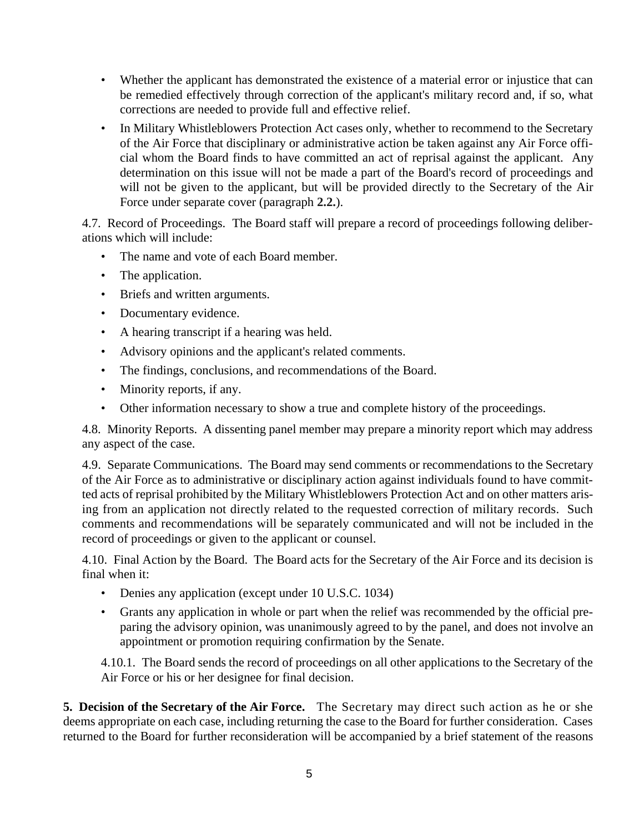- Whether the applicant has demonstrated the existence of a material error or injustice that can be remedied effectively through correction of the applicant's military record and, if so, what corrections are needed to provide full and effective relief.
- In Military Whistleblowers Protection Act cases only, whether to recommend to the Secretary of the Air Force that disciplinary or administrative action be taken against any Air Force official whom the Board finds to have committed an act of reprisal against the applicant. Any determination on this issue will not be made a part of the Board's record of proceedings and will not be given to the applicant, but will be provided directly to the Secretary of the Air Force under separate cover (paragraph **[2.2.](#page-1-0)**).

4.7. Record of Proceedings. The Board staff will prepare a record of proceedings following deliberations which will include:

- The name and vote of each Board member.
- The application.
- Briefs and written arguments.
- Documentary evidence.
- A hearing transcript if a hearing was held.
- Advisory opinions and the applicant's related comments.
- The findings, conclusions, and recommendations of the Board.
- Minority reports, if any.
- Other information necessary to show a true and complete history of the proceedings.

4.8. Minority Reports. A dissenting panel member may prepare a minority report which may address any aspect of the case.

4.9. Separate Communications. The Board may send comments or recommendations to the Secretary of the Air Force as to administrative or disciplinary action against individuals found to have committed acts of reprisal prohibited by the Military Whistleblowers Protection Act and on other matters arising from an application not directly related to the requested correction of military records. Such comments and recommendations will be separately communicated and will not be included in the record of proceedings or given to the applicant or counsel.

4.10. Final Action by the Board. The Board acts for the Secretary of the Air Force and its decision is final when it:

- Denies any application (except under 10 U.S.C. 1034)
- Grants any application in whole or part when the relief was recommended by the official preparing the advisory opinion, was unanimously agreed to by the panel, and does not involve an appointment or promotion requiring confirmation by the Senate.

4.10.1. The Board sends the record of proceedings on all other applications to the Secretary of the Air Force or his or her designee for final decision.

**5. Decision of the Secretary of the Air Force.** The Secretary may direct such action as he or she deems appropriate on each case, including returning the case to the Board for further consideration. Cases returned to the Board for further reconsideration will be accompanied by a brief statement of the reasons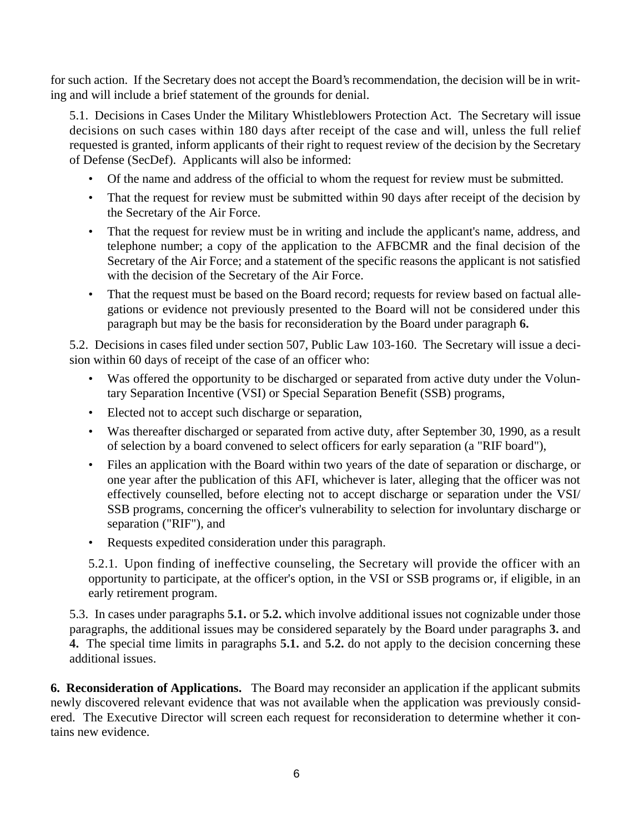for such action. If the Secretary does not accept the Board's recommendation, the decision will be in writing and will include a brief statement of the grounds for denial.

5.1. Decisions in Cases Under the Military Whistleblowers Protection Act. The Secretary will issue decisions on such cases within 180 days after receipt of the case and will, unless the full relief requested is granted, inform applicants of their right to request review of the decision by the Secretary of Defense (SecDef). Applicants will also be informed:

- Of the name and address of the official to whom the request for review must be submitted.
- That the request for review must be submitted within 90 days after receipt of the decision by the Secretary of the Air Force.
- That the request for review must be in writing and include the applicant's name, address, and telephone number; a copy of the application to the AFBCMR and the final decision of the Secretary of the Air Force; and a statement of the specific reasons the applicant is not satisfied with the decision of the Secretary of the Air Force.
- That the request must be based on the Board record; requests for review based on factual allegations or evidence not previously presented to the Board will not be considered under this paragraph but may be the basis for reconsideration by the Board under paragraph **6.**

5.2. Decisions in cases filed under section 507, Public Law 103-160. The Secretary will issue a decision within 60 days of receipt of the case of an officer who:

- Was offered the opportunity to be discharged or separated from active duty under the Voluntary Separation Incentive (VSI) or Special Separation Benefit (SSB) programs,
- Elected not to accept such discharge or separation,
- Was thereafter discharged or separated from active duty, after September 30, 1990, as a result of selection by a board convened to select officers for early separation (a "RIF board"),
- Files an application with the Board within two years of the date of separation or discharge, or one year after the publication of this AFI, whichever is later, alleging that the officer was not effectively counselled, before electing not to accept discharge or separation under the VSI/ SSB programs, concerning the officer's vulnerability to selection for involuntary discharge or separation ("RIF"), and
- Requests expedited consideration under this paragraph.

5.2.1. Upon finding of ineffective counseling, the Secretary will provide the officer with an opportunity to participate, at the officer's option, in the VSI or SSB programs or, if eligible, in an early retirement program.

5.3. In cases under paragraphs **5.1.** or **5.2.** which involve additional issues not cognizable under those paragraphs, the additional issues may be considered separately by the Board under paragraphs **[3.](#page-1-0)** and **[4.](#page-2-0)** The special time limits in paragraphs **5.1.** and **5.2.** do not apply to the decision concerning these additional issues.

**6. Reconsideration of Applications.** The Board may reconsider an application if the applicant submits newly discovered relevant evidence that was not available when the application was previously considered. The Executive Director will screen each request for reconsideration to determine whether it contains new evidence.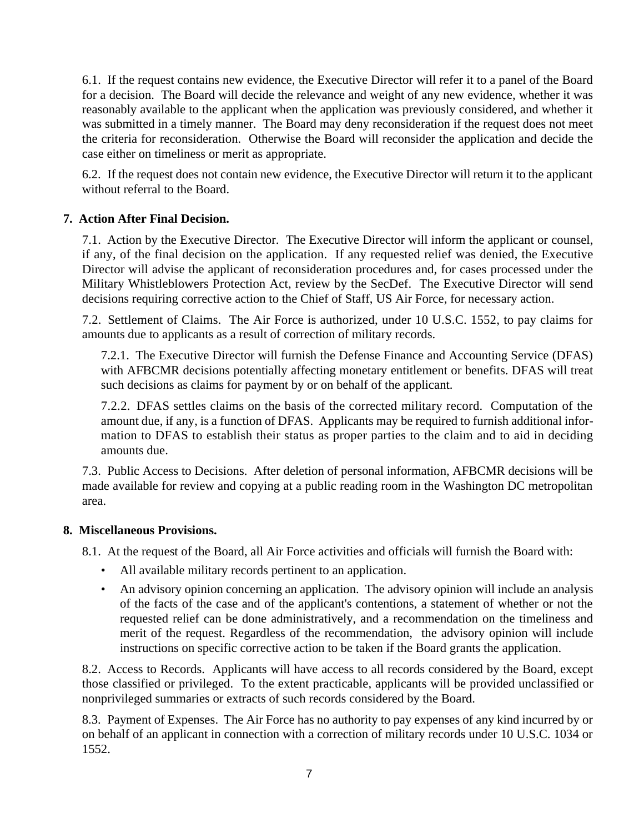6.1. If the request contains new evidence, the Executive Director will refer it to a panel of the Board for a decision. The Board will decide the relevance and weight of any new evidence, whether it was reasonably available to the applicant when the application was previously considered, and whether it was submitted in a timely manner. The Board may deny reconsideration if the request does not meet the criteria for reconsideration. Otherwise the Board will reconsider the application and decide the case either on timeliness or merit as appropriate.

6.2. If the request does not contain new evidence, the Executive Director will return it to the applicant without referral to the Board.

### **7. Action After Final Decision.**

7.1. Action by the Executive Director. The Executive Director will inform the applicant or counsel, if any, of the final decision on the application. If any requested relief was denied, the Executive Director will advise the applicant of reconsideration procedures and, for cases processed under the Military Whistleblowers Protection Act, review by the SecDef. The Executive Director will send decisions requiring corrective action to the Chief of Staff, US Air Force, for necessary action.

7.2. Settlement of Claims. The Air Force is authorized, under 10 U.S.C. 1552, to pay claims for amounts due to applicants as a result of correction of military records.

7.2.1. The Executive Director will furnish the Defense Finance and Accounting Service (DFAS) with AFBCMR decisions potentially affecting monetary entitlement or benefits. DFAS will treat such decisions as claims for payment by or on behalf of the applicant.

7.2.2. DFAS settles claims on the basis of the corrected military record. Computation of the amount due, if any, is a function of DFAS. Applicants may be required to furnish additional information to DFAS to establish their status as proper parties to the claim and to aid in deciding amounts due.

7.3. Public Access to Decisions. After deletion of personal information, AFBCMR decisions will be made available for review and copying at a public reading room in the Washington DC metropolitan area.

### **8. Miscellaneous Provisions.**

- 8.1. At the request of the Board, all Air Force activities and officials will furnish the Board with:
	- All available military records pertinent to an application.
	- An advisory opinion concerning an application. The advisory opinion will include an analysis of the facts of the case and of the applicant's contentions, a statement of whether or not the requested relief can be done administratively, and a recommendation on the timeliness and merit of the request. Regardless of the recommendation, the advisory opinion will include instructions on specific corrective action to be taken if the Board grants the application.

8.2. Access to Records. Applicants will have access to all records considered by the Board, except those classified or privileged. To the extent practicable, applicants will be provided unclassified or nonprivileged summaries or extracts of such records considered by the Board.

8.3. Payment of Expenses. The Air Force has no authority to pay expenses of any kind incurred by or on behalf of an applicant in connection with a correction of military records under 10 U.S.C. 1034 or 1552.